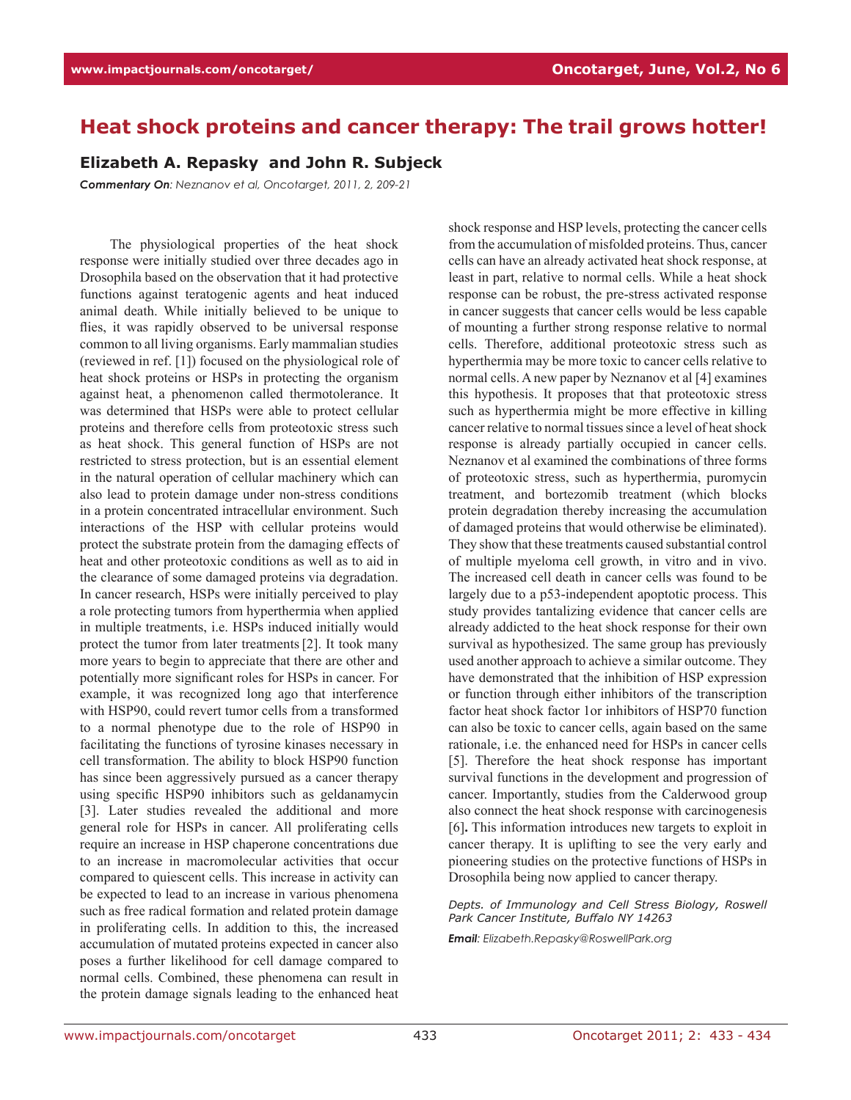## **Heat shock proteins and cancer therapy: The trail grows hotter!**

## **Elizabeth A. Repasky and John R. Subjeck**

*Commentary On: Neznanov et al, Oncotarget, 2011, 2, 209-21*

The physiological properties of the heat shock response were initially studied over three decades ago in Drosophila based on the observation that it had protective functions against teratogenic agents and heat induced animal death. While initially believed to be unique to flies, it was rapidly observed to be universal response common to all living organisms. Early mammalian studies (reviewed in ref. [1]) focused on the physiological role of heat shock proteins or HSPs in protecting the organism against heat, a phenomenon called thermotolerance. It was determined that HSPs were able to protect cellular proteins and therefore cells from proteotoxic stress such as heat shock. This general function of HSPs are not restricted to stress protection, but is an essential element in the natural operation of cellular machinery which can also lead to protein damage under non-stress conditions in a protein concentrated intracellular environment. Such interactions of the HSP with cellular proteins would protect the substrate protein from the damaging effects of heat and other proteotoxic conditions as well as to aid in the clearance of some damaged proteins via degradation. In cancer research, HSPs were initially perceived to play a role protecting tumors from hyperthermia when applied in multiple treatments, i.e. HSPs induced initially would protect the tumor from later treatments[2]. It took many more years to begin to appreciate that there are other and potentially more significant roles for HSPs in cancer. For example, it was recognized long ago that interference with HSP90, could revert tumor cells from a transformed to a normal phenotype due to the role of HSP90 in facilitating the functions of tyrosine kinases necessary in cell transformation. The ability to block HSP90 function has since been aggressively pursued as a cancer therapy using specific HSP90 inhibitors such as geldanamycin [3]. Later studies revealed the additional and more general role for HSPs in cancer. All proliferating cells require an increase in HSP chaperone concentrations due to an increase in macromolecular activities that occur compared to quiescent cells. This increase in activity can be expected to lead to an increase in various phenomena such as free radical formation and related protein damage in proliferating cells. In addition to this, the increased accumulation of mutated proteins expected in cancer also poses a further likelihood for cell damage compared to normal cells. Combined, these phenomena can result in the protein damage signals leading to the enhanced heat shock response and HSP levels, protecting the cancer cells from the accumulation of misfolded proteins. Thus, cancer cells can have an already activated heat shock response, at least in part, relative to normal cells. While a heat shock response can be robust, the pre-stress activated response in cancer suggests that cancer cells would be less capable of mounting a further strong response relative to normal cells. Therefore, additional proteotoxic stress such as hyperthermia may be more toxic to cancer cells relative to normal cells. A new paper by Neznanov et al [4] examines this hypothesis. It proposes that that proteotoxic stress such as hyperthermia might be more effective in killing cancer relative to normal tissues since a level of heat shock response is already partially occupied in cancer cells. Neznanov et al examined the combinations of three forms of proteotoxic stress, such as hyperthermia, puromycin treatment, and bortezomib treatment (which blocks protein degradation thereby increasing the accumulation of damaged proteins that would otherwise be eliminated). They show that these treatments caused substantial control of multiple myeloma cell growth, in vitro and in vivo. The increased cell death in cancer cells was found to be largely due to a p53-independent apoptotic process. This study provides tantalizing evidence that cancer cells are already addicted to the heat shock response for their own survival as hypothesized. The same group has previously used another approach to achieve a similar outcome. They have demonstrated that the inhibition of HSP expression or function through either inhibitors of the transcription factor heat shock factor 1or inhibitors of HSP70 function can also be toxic to cancer cells, again based on the same rationale, i.e. the enhanced need for HSPs in cancer cells [5]. Therefore the heat shock response has important survival functions in the development and progression of cancer. Importantly, studies from the Calderwood group also connect the heat shock response with carcinogenesis [6]**.** This information introduces new targets to exploit in cancer therapy. It is uplifting to see the very early and pioneering studies on the protective functions of HSPs in Drosophila being now applied to cancer therapy.

*Depts. of Immunology and Cell Stress Biology, Roswell Park Cancer Institute, Buffalo NY 14263*

*Email: Elizabeth.Repasky@RoswellPark.org*